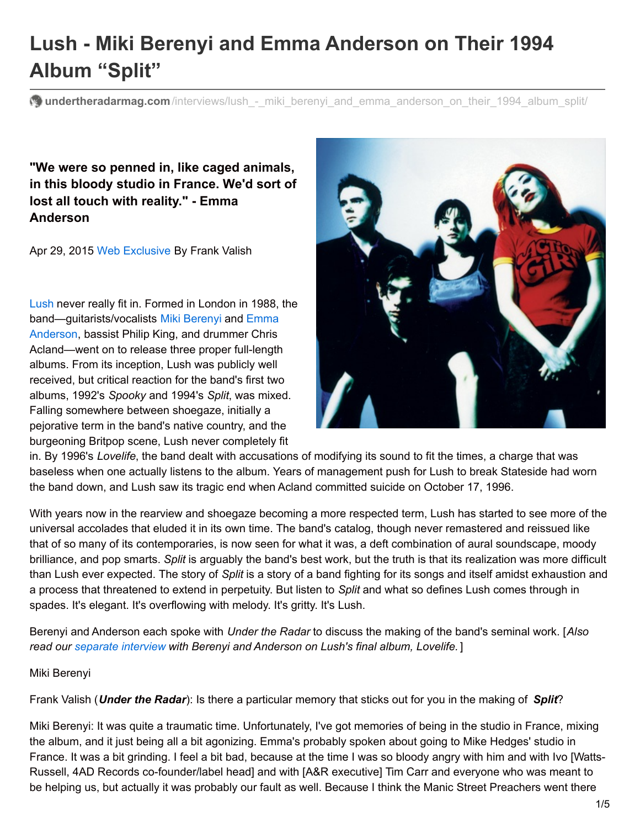# **Lush - Miki Berenyi and Emma Anderson on Their 1994 Album "Split"**

**undertheradarmag.com**/interviews/lush - miki berenyi and emma anderson on their 1994 album split/

**"We were so penned in, like caged animals, in this bloody studio in France. We'd sort of lost all touch with reality." - Emma Anderson**

Apr 29, 2015 Web [Exclusive](http://www.undertheradarmag.com/issues/webexclusive/) By Frank Valish

[Lush](http://www.undertheradarmag.com/artists/lush/) never really fit in. Formed in London in 1988, the [band—guitarists/vocalists](http://www.undertheradarmag.com/artists/emma_anderson/) Miki [Berenyi](http://www.undertheradarmag.com/artists/miki_berenyi/) and Emma Anderson, bassist Philip King, and drummer Chris Acland—went on to release three proper full-length albums. From its inception, Lush was publicly well received, but critical reaction for the band's first two albums, 1992's *Spooky* and 1994's *Split*, was mixed. Falling somewhere between shoegaze, initially a pejorative term in the band's native country, and the burgeoning Britpop scene, Lush never completely fit



in. By 1996's *Lovelife*, the band dealt with accusations of modifying its sound to fit the times, a charge that was baseless when one actually listens to the album. Years of management push for Lush to break Stateside had worn the band down, and Lush saw its tragic end when Acland committed suicide on October 17, 1996.

With years now in the rearview and shoegaze becoming a more respected term. Lush has started to see more of the universal accolades that eluded it in its own time. The band's catalog, though never remastered and reissued like that of so many of its contemporaries, is now seen for what it was, a deft combination of aural soundscape, moody brilliance, and pop smarts. *Split* is arguably the band's best work, but the truth is that its realization was more difficult than Lush ever expected. The story of *Split* is a story of a band fighting for its songs and itself amidst exhaustion and a process that threatened to extend in perpetuity. But listen to *Split* and what so defines Lush comes through in spades. It's elegant. It's overflowing with melody. It's gritty. It's Lush.

Berenyi and Anderson each spoke with *Under the Radar* to discuss the making of the band's seminal work. [*Also read our [separate](http://www.undertheradarmag.com/interviews/lush_-_miki_berenyi_and_emma_anderson_on_1996_album_lovelife_and_the_last_d) interview with Berenyi and Anderson on Lush's final album, Lovelife.* ]

#### Miki Berenyi

Frank Valish (*Under the Radar*): Is there a particular memory that sticks out for you in the making of *Split*?

Miki Berenyi: It was quite a traumatic time. Unfortunately, I've got memories of being in the studio in France, mixing the album, and it just being all a bit agonizing. Emma's probably spoken about going to Mike Hedges' studio in France. It was a bit grinding. I feel a bit bad, because at the time I was so bloody angry with him and with Ivo [Watts-Russell, 4AD Records co-founder/label head] and with [A&R executive] Tim Carr and everyone who was meant to be helping us, but actually it was probably our fault as well. Because I think the Manic Street Preachers went there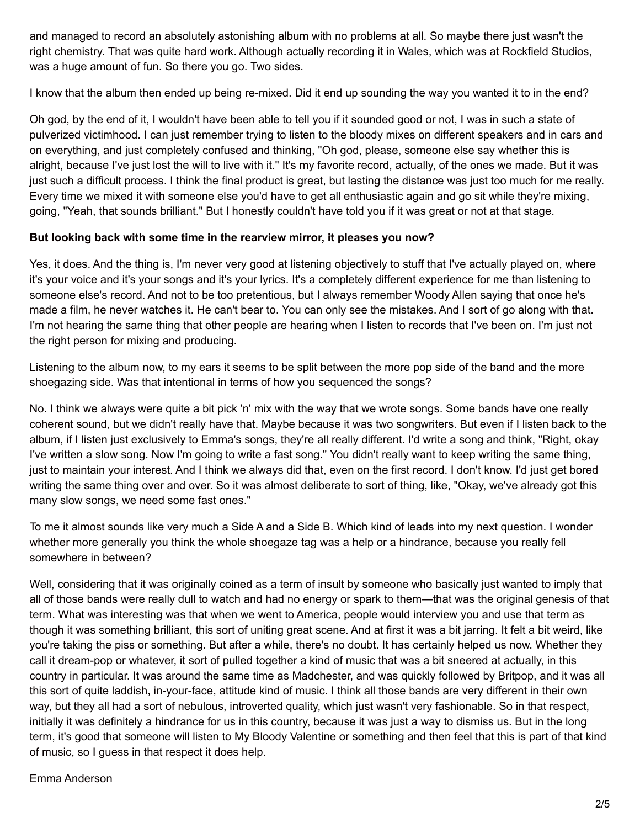and managed to record an absolutely astonishing album with no problems at all. So maybe there just wasn't the right chemistry. That was quite hard work. Although actually recording it in Wales, which was at Rockfield Studios, was a huge amount of fun. So there you go. Two sides.

I know that the album then ended up being re-mixed. Did it end up sounding the way you wanted it to in the end?

Oh god, by the end of it, I wouldn't have been able to tell you if it sounded good or not, I was in such a state of pulverized victimhood. I can just remember trying to listen to the bloody mixes on different speakers and in cars and on everything, and just completely confused and thinking, "Oh god, please, someone else say whether this is alright, because I've just lost the will to live with it." It's my favorite record, actually, of the ones we made. But it was just such a difficult process. I think the final product is great, but lasting the distance was just too much for me really. Every time we mixed it with someone else you'd have to get all enthusiastic again and go sit while they're mixing, going, "Yeah, that sounds brilliant." But I honestly couldn't have told you if it was great or not at that stage.

## **But looking back with some time in the rearview mirror, it pleases you now?**

Yes, it does. And the thing is, I'm never very good at listening objectively to stuff that I've actually played on, where it's your voice and it's your songs and it's your lyrics. It's a completely different experience for me than listening to someone else's record. And not to be too pretentious, but I always remember Woody Allen saying that once he's made a film, he never watches it. He can't bear to. You can only see the mistakes. And I sort of go along with that. I'm not hearing the same thing that other people are hearing when I listen to records that I've been on. I'm just not the right person for mixing and producing.

Listening to the album now, to my ears it seems to be split between the more pop side of the band and the more shoegazing side. Was that intentional in terms of how you sequenced the songs?

No. I think we always were quite a bit pick 'n' mix with the way that we wrote songs. Some bands have one really coherent sound, but we didn't really have that. Maybe because it was two songwriters. But even if I listen back to the album, if I listen just exclusively to Emma's songs, they're all really different. I'd write a song and think, "Right, okay I've written a slow song. Now I'm going to write a fast song." You didn't really want to keep writing the same thing, just to maintain your interest. And I think we always did that, even on the first record. I don't know. I'd just get bored writing the same thing over and over. So it was almost deliberate to sort of thing, like, "Okay, we've already got this many slow songs, we need some fast ones."

To me it almost sounds like very much a Side A and a Side B. Which kind of leads into my next question. I wonder whether more generally you think the whole shoegaze tag was a help or a hindrance, because you really fell somewhere in between?

Well, considering that it was originally coined as a term of insult by someone who basically just wanted to imply that all of those bands were really dull to watch and had no energy or spark to them—that was the original genesis of that term. What was interesting was that when we went to America, people would interview you and use that term as though it was something brilliant, this sort of uniting great scene. And at first it was a bit jarring. It felt a bit weird, like you're taking the piss or something. But after a while, there's no doubt. It has certainly helped us now. Whether they call it dream-pop or whatever, it sort of pulled together a kind of music that was a bit sneered at actually, in this country in particular. It was around the same time as Madchester, and was quickly followed by Britpop, and it was all this sort of quite laddish, in-your-face, attitude kind of music. I think all those bands are very different in their own way, but they all had a sort of nebulous, introverted quality, which just wasn't very fashionable. So in that respect, initially it was definitely a hindrance for us in this country, because it was just a way to dismiss us. But in the long term, it's good that someone will listen to My Bloody Valentine or something and then feel that this is part of that kind of music, so I guess in that respect it does help.

### Emma Anderson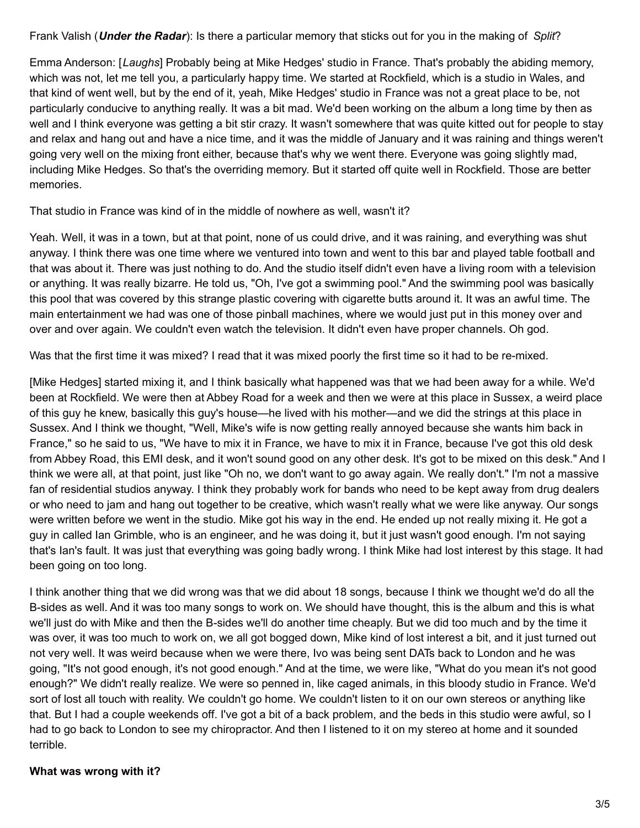Frank Valish (*Under the Radar*): Is there a particular memory that sticks out for you in the making of *Split*?

Emma Anderson: [*Laughs*] Probably being at Mike Hedges' studio in France. That's probably the abiding memory, which was not, let me tell you, a particularly happy time. We started at Rockfield, which is a studio in Wales, and that kind of went well, but by the end of it, yeah, Mike Hedges' studio in France was not a great place to be, not particularly conducive to anything really. It was a bit mad. We'd been working on the album a long time by then as well and I think everyone was getting a bit stir crazy. It wasn't somewhere that was quite kitted out for people to stay and relax and hang out and have a nice time, and it was the middle of January and it was raining and things weren't going very well on the mixing front either, because that's why we went there. Everyone was going slightly mad, including Mike Hedges. So that's the overriding memory. But it started off quite well in Rockfield. Those are better memories.

## That studio in France was kind of in the middle of nowhere as well, wasn't it?

Yeah. Well, it was in a town, but at that point, none of us could drive, and it was raining, and everything was shut anyway. I think there was one time where we ventured into town and went to this bar and played table football and that was about it. There was just nothing to do. And the studio itself didn't even have a living room with a television or anything. It was really bizarre. He told us, "Oh, I've got a swimming pool." And the swimming pool was basically this pool that was covered by this strange plastic covering with cigarette butts around it. It was an awful time. The main entertainment we had was one of those pinball machines, where we would just put in this money over and over and over again. We couldn't even watch the television. It didn't even have proper channels. Oh god.

Was that the first time it was mixed? I read that it was mixed poorly the first time so it had to be re-mixed.

[Mike Hedges] started mixing it, and I think basically what happened was that we had been away for a while. We'd been at Rockfield. We were then at Abbey Road for a week and then we were at this place in Sussex, a weird place of this guy he knew, basically this guy's house—he lived with his mother—and we did the strings at this place in Sussex. And I think we thought, "Well, Mike's wife is now getting really annoyed because she wants him back in France," so he said to us, "We have to mix it in France, we have to mix it in France, because I've got this old desk from Abbey Road, this EMI desk, and it won't sound good on any other desk. It's got to be mixed on this desk." And I think we were all, at that point, just like "Oh no, we don't want to go away again. We really don't." I'm not a massive fan of residential studios anyway. I think they probably work for bands who need to be kept away from drug dealers or who need to jam and hang out together to be creative, which wasn't really what we were like anyway. Our songs were written before we went in the studio. Mike got his way in the end. He ended up not really mixing it. He got a guy in called Ian Grimble, who is an engineer, and he was doing it, but it just wasn't good enough. I'm not saying that's Ian's fault. It was just that everything was going badly wrong. I think Mike had lost interest by this stage. It had been going on too long.

I think another thing that we did wrong was that we did about 18 songs, because I think we thought we'd do all the B-sides as well. And it was too many songs to work on. We should have thought, this is the album and this is what we'll just do with Mike and then the B-sides we'll do another time cheaply. But we did too much and by the time it was over, it was too much to work on, we all got bogged down, Mike kind of lost interest a bit, and it just turned out not very well. It was weird because when we were there, Ivo was being sent DATs back to London and he was going, "It's not good enough, it's not good enough." And at the time, we were like, "What do you mean it's not good enough?" We didn't really realize. We were so penned in, like caged animals, in this bloody studio in France. We'd sort of lost all touch with reality. We couldn't go home. We couldn't listen to it on our own stereos or anything like that. But I had a couple weekends off. I've got a bit of a back problem, and the beds in this studio were awful, so I had to go back to London to see my chiropractor. And then I listened to it on my stereo at home and it sounded terrible.

## **What was wrong with it?**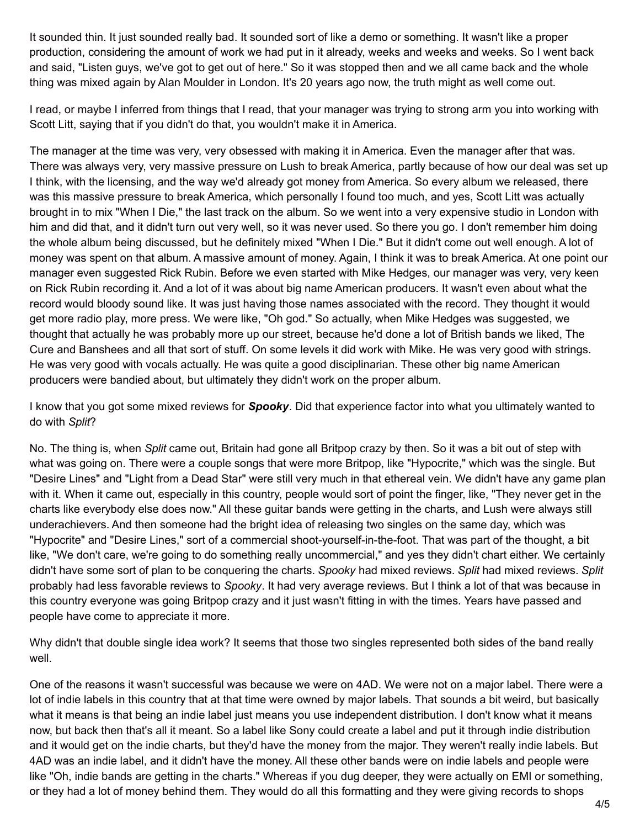It sounded thin. It just sounded really bad. It sounded sort of like a demo or something. It wasn't like a proper production, considering the amount of work we had put in it already, weeks and weeks and weeks. So I went back and said, "Listen guys, we've got to get out of here." So it was stopped then and we all came back and the whole thing was mixed again by Alan Moulder in London. It's 20 years ago now, the truth might as well come out.

I read, or maybe I inferred from things that I read, that your manager was trying to strong arm you into working with Scott Litt, saying that if you didn't do that, you wouldn't make it in America.

The manager at the time was very, very obsessed with making it in America. Even the manager after that was. There was always very, very massive pressure on Lush to break America, partly because of how our deal was set up I think, with the licensing, and the way we'd already got money from America. So every album we released, there was this massive pressure to break America, which personally I found too much, and yes, Scott Litt was actually brought in to mix "When I Die," the last track on the album. So we went into a very expensive studio in London with him and did that, and it didn't turn out very well, so it was never used. So there you go. I don't remember him doing the whole album being discussed, but he definitely mixed "When I Die." But it didn't come out well enough. A lot of money was spent on that album. A massive amount of money. Again, I think it was to break America. At one point our manager even suggested Rick Rubin. Before we even started with Mike Hedges, our manager was very, very keen on Rick Rubin recording it. And a lot of it was about big name American producers. It wasn't even about what the record would bloody sound like. It was just having those names associated with the record. They thought it would get more radio play, more press. We were like, "Oh god." So actually, when Mike Hedges was suggested, we thought that actually he was probably more up our street, because he'd done a lot of British bands we liked, The Cure and Banshees and all that sort of stuff. On some levels it did work with Mike. He was very good with strings. He was very good with vocals actually. He was quite a good disciplinarian. These other big name American producers were bandied about, but ultimately they didn't work on the proper album.

I know that you got some mixed reviews for *Spooky*. Did that experience factor into what you ultimately wanted to do with *Split*?

No. The thing is, when *Split* came out, Britain had gone all Britpop crazy by then. So it was a bit out of step with what was going on. There were a couple songs that were more Britpop, like "Hypocrite," which was the single. But "Desire Lines" and "Light from a Dead Star" were still very much in that ethereal vein. We didn't have any game plan with it. When it came out, especially in this country, people would sort of point the finger, like, "They never get in the charts like everybody else does now." All these guitar bands were getting in the charts, and Lush were always still underachievers. And then someone had the bright idea of releasing two singles on the same day, which was "Hypocrite" and "Desire Lines," sort of a commercial shoot-yourself-in-the-foot. That was part of the thought, a bit like, "We don't care, we're going to do something really uncommercial," and yes they didn't chart either. We certainly didn't have some sort of plan to be conquering the charts. *Spooky* had mixed reviews. *Split* had mixed reviews. *Split* probably had less favorable reviews to *Spooky*. It had very average reviews. But I think a lot of that was because in this country everyone was going Britpop crazy and it just wasn't fitting in with the times. Years have passed and people have come to appreciate it more.

Why didn't that double single idea work? It seems that those two singles represented both sides of the band really well.

One of the reasons it wasn't successful was because we were on 4AD. We were not on a major label. There were a lot of indie labels in this country that at that time were owned by major labels. That sounds a bit weird, but basically what it means is that being an indie label just means you use independent distribution. I don't know what it means now, but back then that's all it meant. So a label like Sony could create a label and put it through indie distribution and it would get on the indie charts, but they'd have the money from the major. They weren't really indie labels. But 4AD was an indie label, and it didn't have the money. All these other bands were on indie labels and people were like "Oh, indie bands are getting in the charts." Whereas if you dug deeper, they were actually on EMI or something, or they had a lot of money behind them. They would do all this formatting and they were giving records to shops